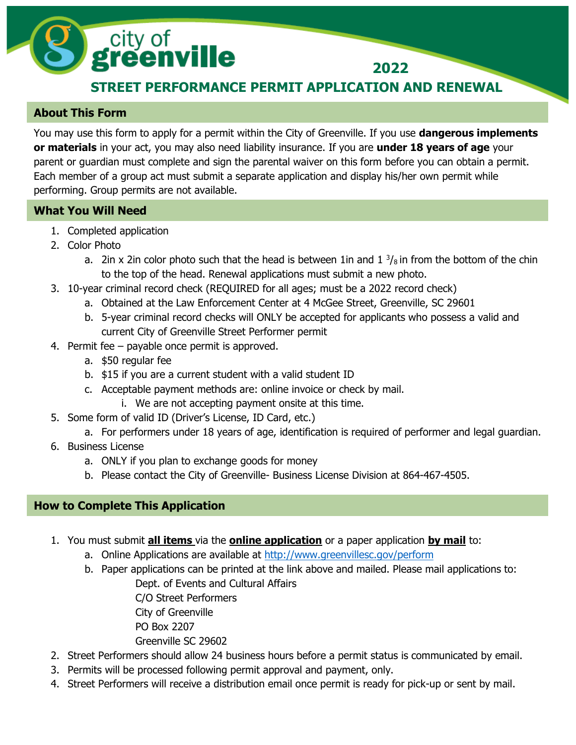## **STREET PERFORMANCE PERMIT APPLICATION AND RENEWAL**

**2022**

## **About This Form**

You may use this form to apply for a permit within the City of Greenville. If you use **dangerous implements or materials** in your act, you may also need liability insurance. If you are **under 18 years of age** your parent or guardian must complete and sign the parental waiver on this form before you can obtain a permit. Each member of a group act must submit a separate application and display his/her own permit while performing. Group permits are not available.

## **What You Will Need**

- 1. Completed application
- 2. Color Photo
	- a. 2in x 2in color photo such that the head is between 1 in and  $1\frac{3}{8}$  in from the bottom of the chin to the top of the head. Renewal applications must submit a new photo.
- 3. 10-year criminal record check (REQUIRED for all ages; must be a 2022 record check)
	- a. Obtained at the Law Enforcement Center at 4 McGee Street, Greenville, SC 29601
	- b. 5-year criminal record checks will ONLY be accepted for applicants who possess a valid and current City of Greenville Street Performer permit
- 4. Permit fee payable once permit is approved.

city of<br>**greenville** 

- a. \$50 regular fee
- b. \$15 if you are a current student with a valid student ID
- c. Acceptable payment methods are: online invoice or check by mail.
	- i. We are not accepting payment onsite at this time.
- 5. Some form of valid ID (Driver's License, ID Card, etc.)
	- a. For performers under 18 years of age, identification is required of performer and legal guardian.
- 6. Business License
	- a. ONLY if you plan to exchange goods for money
	- b. Please contact the City of Greenville- Business License Division at 864-467-4505.

## **How to Complete This Application**

- 1. You must submit **all items** via the **online application** or a paper application **by mail** to:
	- a. Online Applications are available at http://www.greenvillesc.gov/perform
	- b. Paper applications can be printed at the link above and mailed. Please mail applications to: Dept. of Events and Cultural Affairs

C/O Street Performers City of Greenville PO Box 2207 Greenville SC 29602

- 2. Street Performers should allow 24 business hours before a permit status is communicated by email.
- 3. Permits will be processed following permit approval and payment, only.
- 4. Street Performers will receive a distribution email once permit is ready for pick-up or sent by mail.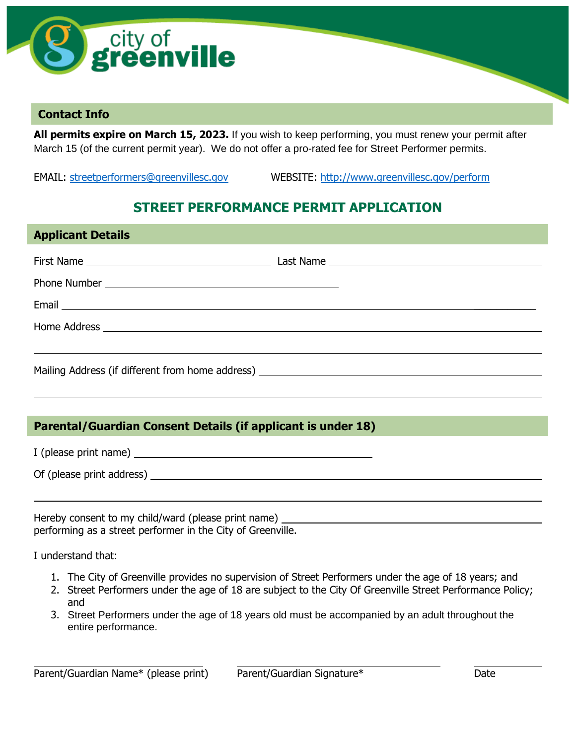

## **Contact Info**

**Applicant Details**

**All permits expire on March 15, 2023.** If you wish to keep performing, you must renew your permit after March 15 (of the current permit year). We do not offer a pro-rated fee for Street Performer permits.

EMAIL: [streetperformers@greenvillesc.gov](mailto:streetperformers@greenvillesc.gov) WEBSITE: http://www.greenvillesc.gov/perform

## **STREET PERFORMANCE PERMIT APPLICATION**

| <b>ADDIICAIIL DELAIIS</b>                                    |  |  |  |
|--------------------------------------------------------------|--|--|--|
|                                                              |  |  |  |
|                                                              |  |  |  |
|                                                              |  |  |  |
|                                                              |  |  |  |
|                                                              |  |  |  |
|                                                              |  |  |  |
|                                                              |  |  |  |
|                                                              |  |  |  |
| Parental/Guardian Consent Details (if applicant is under 18) |  |  |  |
|                                                              |  |  |  |
|                                                              |  |  |  |
|                                                              |  |  |  |
| performing as a street performer in the City of Greenville.  |  |  |  |

I understand that:

- 1. The City of Greenville provides no supervision of Street Performers under the age of 18 years; and
- 2. Street Performers under the age of 18 are subject to the City Of Greenville Street Performance Policy; and
- 3. Street Performers under the age of 18 years old must be accompanied by an adult throughout the entire performance.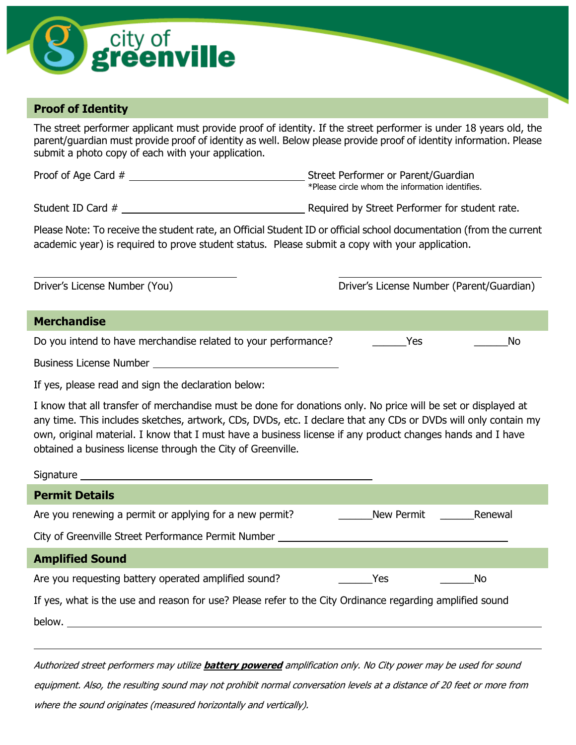

## **Proof of Identity**

The street performer applicant must provide proof of identity. If the street performer is under 18 years old, the parent/guardian must provide proof of identity as well. Below please provide proof of identity information. Please submit a photo copy of each with your application.

Proof of Age Card # Street Performer or Parent/Guardian

\*Please circle whom the information identifies.

Student ID Card #  $\qquad \qquad$  Required by Street Performer for student rate.

Please Note: To receive the student rate, an Official Student ID or official school documentation (from the current academic year) is required to prove student status. Please submit a copy with your application.

Driver's License Number (You) Driver's License Number (Parent/Guardian) Do you intend to have merchandise related to your performance? \_\_\_\_\_\_\_\_Yes \_\_\_\_\_\_\_\_\_\_\_\_\_\_No Business License Number **Merchandise**

If yes, please read and sign the declaration below:

I know that all transfer of merchandise must be done for donations only. No price will be set or displayed at any time. This includes sketches, artwork, CDs, DVDs, etc. I declare that any CDs or DVDs will only contain my own, original material. I know that I must have a business license if any product changes hands and I have obtained a business license through the City of Greenville.

| <b>Permit Details</b>                                                                                    |            |         |  |
|----------------------------------------------------------------------------------------------------------|------------|---------|--|
| Are you renewing a permit or applying for a new permit?                                                  | New Permit | Renewal |  |
| City of Greenville Street Performance Permit Number ____________________________                         |            |         |  |
| <b>Amplified Sound</b>                                                                                   |            |         |  |
| Are you requesting battery operated amplified sound?                                                     | <b>Yes</b> | . No    |  |
| If yes, what is the use and reason for use? Please refer to the City Ordinance regarding amplified sound |            |         |  |
| below.                                                                                                   |            |         |  |

Authorized street performers may utilize **battery powered** amplification only. No City power may be used for sound equipment. Also, the resulting sound may not prohibit normal conversation levels at a distance of 20 feet or more from where the sound originates (measured horizontally and vertically).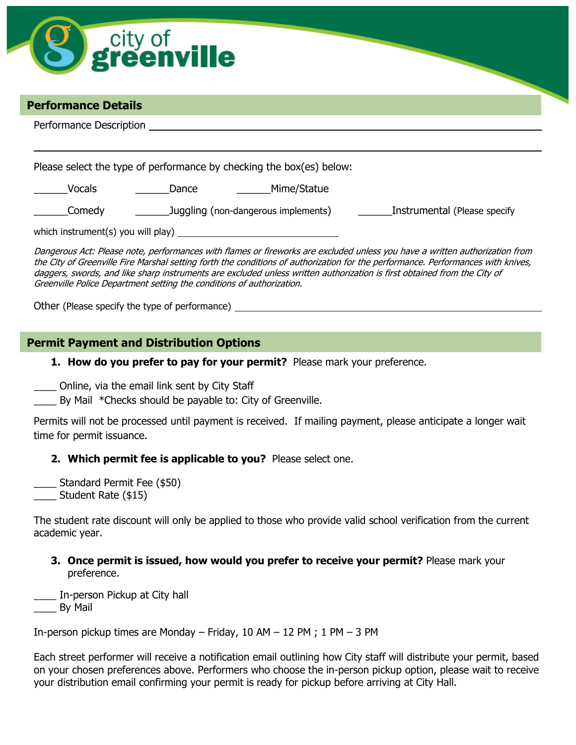

\_\_\_\_\_\_Comedy \_\_\_\_\_\_Juggling (non-dangerous implements) \_\_\_\_\_\_Instrumental (Please specify

which instrument(s) you will play)

Dangerous Act: Please note, performances with flames or fireworks are excluded unless you have a written authorization from the City of Greenville Fire Marshal setting forth the conditions of authorization for the performance. Performances with knives, daggers, swords, and like sharp instruments are excluded unless written authorization is first obtained from the City of Greenville Police Department setting the conditions of authorization.

Other (Please specify the type of performance)

## **Permit Payment and Distribution Options**

**1. How do you prefer to pay for your permit?** Please mark your preference.

\_\_\_\_ Online, via the email link sent by City Staff

\_\_\_\_ By Mail \*Checks should be payable to: City of Greenville.

Permits will not be processed until payment is received. If mailing payment, please anticipate a longer wait time for permit issuance.

#### **2. Which permit fee is applicable to you?** Please select one.

Standard Permit Fee (\$50) \_\_\_\_ Student Rate (\$15)

The student rate discount will only be applied to those who provide valid school verification from the current academic year.

**3. Once permit is issued, how would you prefer to receive your permit?** Please mark your preference.

\_\_\_\_ In-person Pickup at City hall

\_\_\_\_ By Mail

In-person pickup times are Monday – Friday, 10 AM – 12 PM ; 1 PM – 3 PM

Each street performer will receive a notification email outlining how City staff will distribute your permit, based on your chosen preferences above. Performers who choose the in-person pickup option, please wait to receive your distribution email confirming your permit is ready for pickup before arriving at City Hall.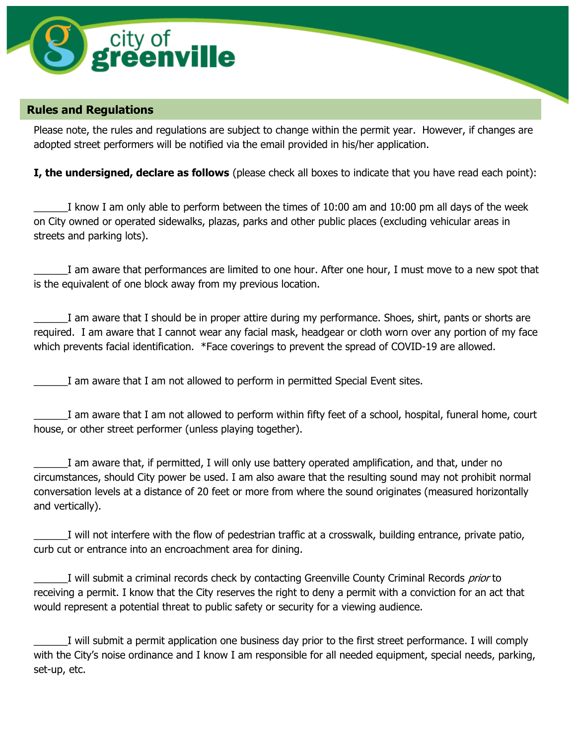

## **Rules and Regulations**

Please note, the rules and regulations are subject to change within the permit year. However, if changes are adopted street performers will be notified via the email provided in his/her application.

**I, the undersigned, declare as follows** (please check all boxes to indicate that you have read each point):

I know I am only able to perform between the times of 10:00 am and 10:00 pm all days of the week on City owned or operated sidewalks, plazas, parks and other public places (excluding vehicular areas in streets and parking lots).

\_\_\_\_\_\_I am aware that performances are limited to one hour. After one hour, I must move to a new spot that is the equivalent of one block away from my previous location.

\_\_\_\_\_\_I am aware that I should be in proper attire during my performance. Shoes, shirt, pants or shorts are required. I am aware that I cannot wear any facial mask, headgear or cloth worn over any portion of my face which prevents facial identification. \*Face coverings to prevent the spread of COVID-19 are allowed.

I am aware that I am not allowed to perform in permitted Special Event sites.

I am aware that I am not allowed to perform within fifty feet of a school, hospital, funeral home, court house, or other street performer (unless playing together).

\_\_\_\_\_\_I am aware that, if permitted, I will only use battery operated amplification, and that, under no circumstances, should City power be used. I am also aware that the resulting sound may not prohibit normal conversation levels at a distance of 20 feet or more from where the sound originates (measured horizontally and vertically).

\_\_\_\_\_\_I will not interfere with the flow of pedestrian traffic at a crosswalk, building entrance, private patio, curb cut or entrance into an encroachment area for dining.

I will submit a criminal records check by contacting Greenville County Criminal Records prior to receiving a permit. I know that the City reserves the right to deny a permit with a conviction for an act that would represent a potential threat to public safety or security for a viewing audience.

\_\_\_\_\_\_I will submit a permit application one business day prior to the first street performance. I will comply with the City's noise ordinance and I know I am responsible for all needed equipment, special needs, parking, set-up, etc.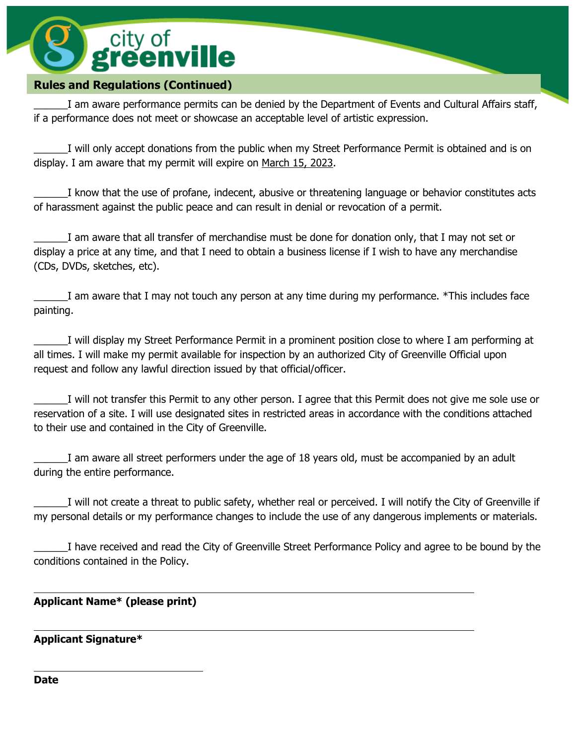# city of<br>**greenville**

## **Rules and Regulations (Continued)**

I am aware performance permits can be denied by the Department of Events and Cultural Affairs staff, if a performance does not meet or showcase an acceptable level of artistic expression.

\_\_\_\_\_\_I will only accept donations from the public when my Street Performance Permit is obtained and is on display. I am aware that my permit will expire on March 15, 2023.

\_\_\_\_\_\_I know that the use of profane, indecent, abusive or threatening language or behavior constitutes acts of harassment against the public peace and can result in denial or revocation of a permit.

\_\_\_\_\_\_I am aware that all transfer of merchandise must be done for donation only, that I may not set or display a price at any time, and that I need to obtain a business license if I wish to have any merchandise (CDs, DVDs, sketches, etc).

I am aware that I may not touch any person at any time during my performance. \*This includes face painting.

\_\_\_\_\_\_I will display my Street Performance Permit in a prominent position close to where I am performing at all times. I will make my permit available for inspection by an authorized City of Greenville Official upon request and follow any lawful direction issued by that official/officer.

I will not transfer this Permit to any other person. I agree that this Permit does not give me sole use or reservation of a site. I will use designated sites in restricted areas in accordance with the conditions attached to their use and contained in the City of Greenville.

I am aware all street performers under the age of 18 years old, must be accompanied by an adult during the entire performance.

I will not create a threat to public safety, whether real or perceived. I will notify the City of Greenville if my personal details or my performance changes to include the use of any dangerous implements or materials.

\_\_\_\_\_\_I have received and read the City of Greenville Street Performance Policy and agree to be bound by the conditions contained in the Policy.

## **Applicant Name\* (please print)**

## **Applicant Signature\***

**Date**